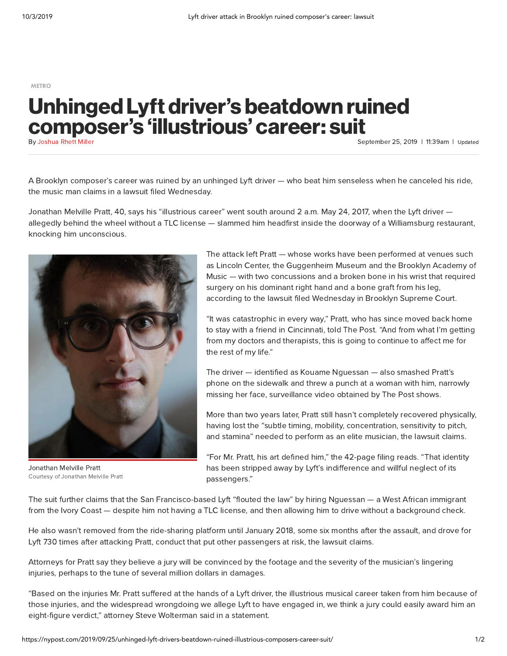[METRO](https://nypost.com/metro/)

## Unhinged Lyft driver's beatdown ruined composer's 'illustrious' career: suit

By [Joshua](https://nypost.com/author/joshua-rhett-miller/) Rhett Miller

September 25, 2019 | 11:39am | Updated

A Brooklyn composer's career was ruined by an unhinged Lyft driver — who beat him senseless when he canceled his ride, the music man claims in a lawsuit filed Wednesday.

Jonathan Melville Pratt, 40, says his "illustrious career" went south around 2 a.m. May 24, 2017, when the Lyft driver allegedly behind the wheel without a TLC license — slammed him headfirst inside the doorway of a Williamsburg restaurant, knocking him unconscious.



Courtesy of Jonathan Melville Pratt Jonathan Melville Pratt

The attack left Pratt — whose works have been performed at venues such as Lincoln Center, the Guggenheim Museum and the Brooklyn Academy of Music — with two concussions and a broken bone in his wrist that required surgery on his dominant right hand and a bone graft from his leg, according to the lawsuit filed Wednesday in Brooklyn Supreme Court.

"It was catastrophic in every way," Pratt, who has since moved back home to stay with a friend in Cincinnati, told The Post. "And from what I'm getting from my doctors and therapists, this is going to continue to affect me for the rest of my life."

The driver — identified as Kouame Nguessan — also smashed Pratt's phone on the sidewalk and threw a punch at a woman with him, narrowly missing her face, surveillance video obtained by The Post shows.

More than two years later, Pratt still hasn't completely recovered physically, having lost the "subtle timing, mobility, concentration, sensitivity to pitch, and stamina" needed to perform as an elite musician, the lawsuit claims.

"For Mr. Pratt, his art defined him," the 42-page filing reads. "That identity has been stripped away by Lyft's indifference and willful neglect of its passengers."

The suit further claims that the San Francisco-based Lyft "flouted the law" by hiring Nguessan — a West African immigrant from the Ivory Coast — despite him not having a TLC license, and then allowing him to drive without a background check.

He also wasn't removed from the ride-sharing platform until January 2018, some six months after the assault, and drove for Lyft 730 times after attacking Pratt, conduct that put other passengers at risk, the lawsuit claims.

Attorneys for Pratt say they believe a jury will be convinced by the footage and the severity of the musician's lingering injuries, perhaps to the tune of several million dollars in damages.

"Based on the injuries Mr. Pratt suffered at the hands of a Lyft driver, the illustrious musical career taken from him because of those injuries, and the widespread wrongdoing we allege Lyft to have engaged in, we think a jury could easily award him an eight-figure verdict," attorney Steve Wolterman said in a statement.